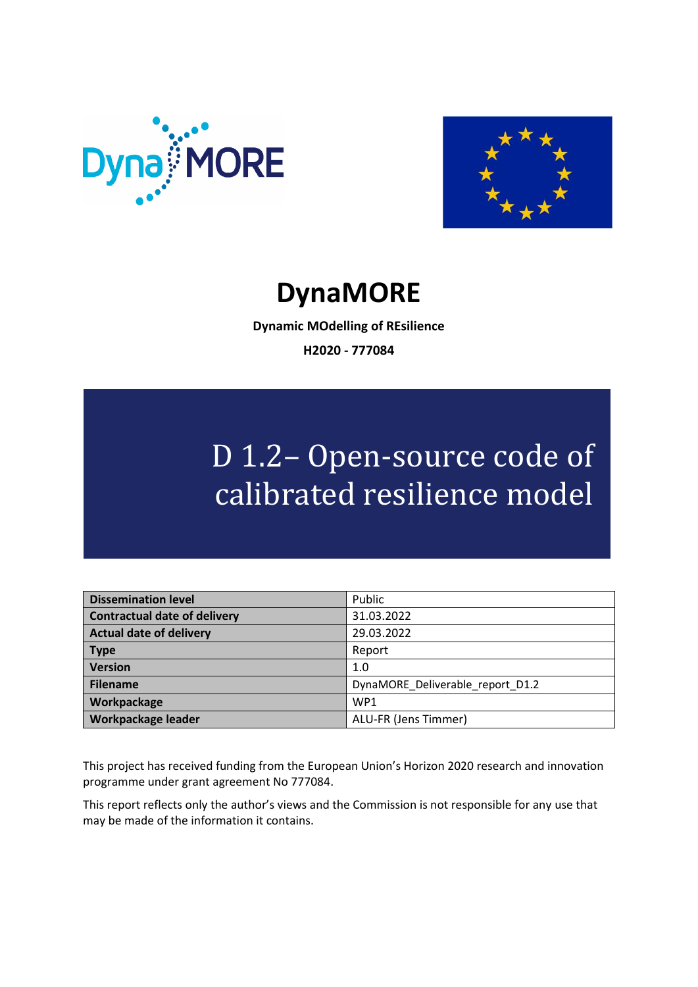



## **DynaMORE**

**Dynamic MOdelling of REsilience H2020 - 777084**

# D 1.2– Open-source code of calibrated resilience model

| <b>Dissemination level</b>          | Public                           |
|-------------------------------------|----------------------------------|
| <b>Contractual date of delivery</b> | 31.03.2022                       |
| <b>Actual date of delivery</b>      | 29.03.2022                       |
| <b>Type</b>                         | Report                           |
| <b>Version</b>                      | 1.0                              |
| <b>Filename</b>                     | DynaMORE Deliverable report D1.2 |
| Workpackage                         | WP <sub>1</sub>                  |
| Workpackage leader                  | ALU-FR (Jens Timmer)             |

This project has received funding from the European Union's Horizon 2020 research and innovation programme under grant agreement No 777084.

This report reflects only the author's views and the Commission is not responsible for any use that may be made of the information it contains.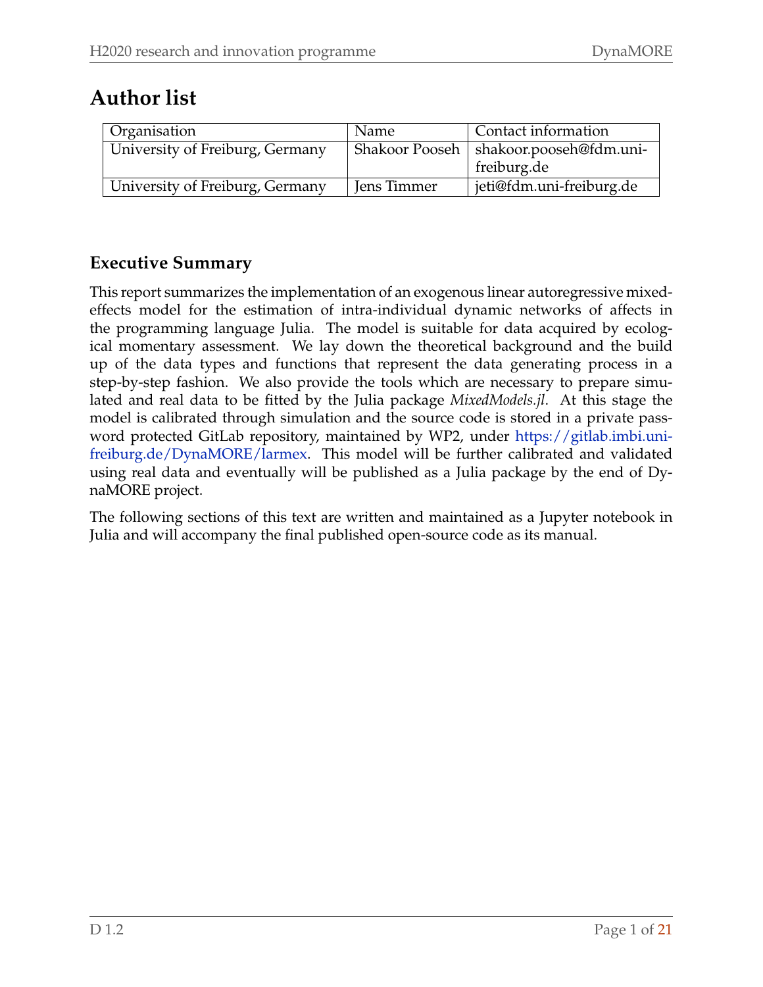#### **Author list**

| Organisation                    | Name        | Contact information                      |
|---------------------------------|-------------|------------------------------------------|
| University of Freiburg, Germany |             | Shakoor Pooseh   shakoor.pooseh@fdm.uni- |
|                                 |             | freiburg.de                              |
| University of Freiburg, Germany | Jens Timmer | jeti@fdm.uni-freiburg.de                 |

#### **Executive Summary**

This report summarizes the implementation of an exogenous linear autoregressive mixedeffects model for the estimation of intra-individual dynamic networks of affects in the programming language Julia. The model is suitable for data acquired by ecological momentary assessment. We lay down the theoretical background and the build up of the data types and functions that represent the data generating process in a step-by-step fashion. We also provide the tools which are necessary to prepare simulated and real data to be fitted by the Julia package *MixedModels.jl*. At this stage the model is calibrated through simulation and the source code is stored in a private password protected GitLab repository, maintained by WP2, under [https://gitlab.imbi.uni](https://gitlab.imbi.uni-freiburg.de/DynaMORE/larmex)[freiburg.de/DynaMORE/larmex.](https://gitlab.imbi.uni-freiburg.de/DynaMORE/larmex) This model will be further calibrated and validated using real data and eventually will be published as a Julia package by the end of DynaMORE project.

The following sections of this text are written and maintained as a Jupyter notebook in Julia and will accompany the final published open-source code as its manual.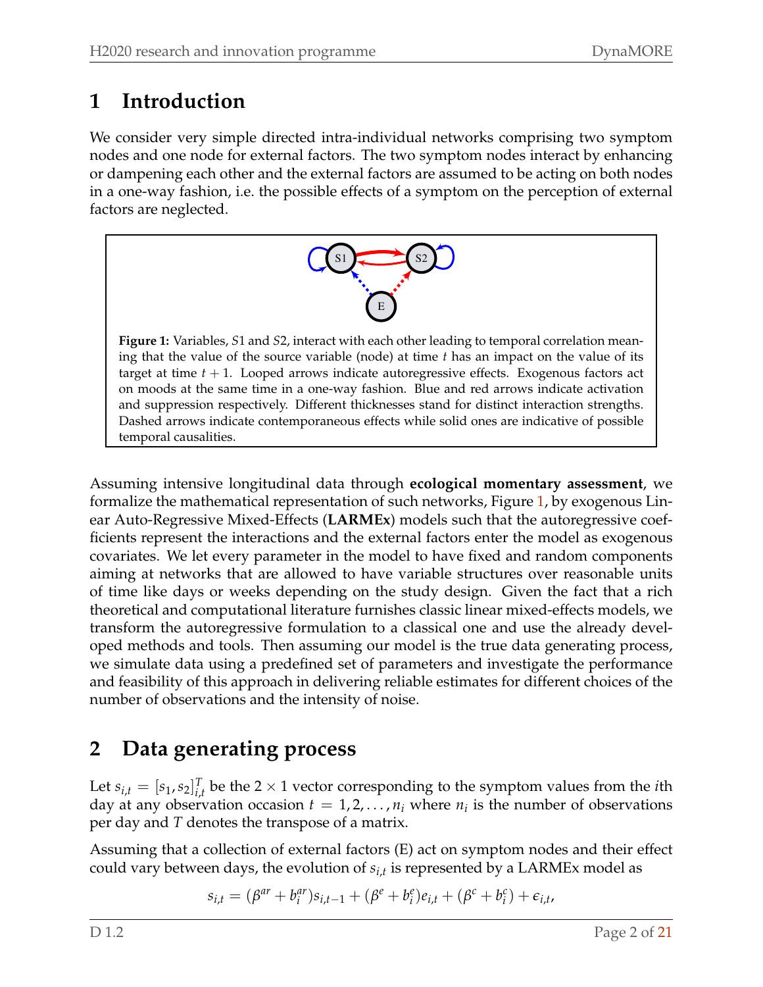#### **1 Introduction**

<span id="page-2-0"></span>We consider very simple directed intra-individual networks comprising two symptom nodes and one node for external factors. The two symptom nodes interact by enhancing or dampening each other and the external factors are assumed to be acting on both nodes in a one-way fashion, i.e. the possible effects of a symptom on the perception of external factors are neglected.



**Figure 1:** Variables, *S*1 and *S*2, interact with each other leading to temporal correlation meaning that the value of the source variable (node) at time *t* has an impact on the value of its target at time *t* + 1. Looped arrows indicate autoregressive effects. Exogenous factors act on moods at the same time in a one-way fashion. Blue and red arrows indicate activation and suppression respectively. Different thicknesses stand for distinct interaction strengths. Dashed arrows indicate contemporaneous effects while solid ones are indicative of possible temporal causalities.

Assuming intensive longitudinal data through **ecological momentary assessment**, we formalize the mathematical representation of such networks, Figure [1,](#page-2-0) by exogenous Linear Auto-Regressive Mixed-Effects (**LARMEx**) models such that the autoregressive coefficients represent the interactions and the external factors enter the model as exogenous covariates. We let every parameter in the model to have fixed and random components aiming at networks that are allowed to have variable structures over reasonable units of time like days or weeks depending on the study design. Given the fact that a rich theoretical and computational literature furnishes classic linear mixed-effects models, we transform the autoregressive formulation to a classical one and use the already developed methods and tools. Then assuming our model is the true data generating process, we simulate data using a predefined set of parameters and investigate the performance and feasibility of this approach in delivering reliable estimates for different choices of the number of observations and the intensity of noise.

#### **2 Data generating process**

Let  $s_{i,t} = [s_1, s_2]_{i_t}^T$  $I_{i,t}$  be the 2  $\times$  1 vector corresponding to the symptom values from the *i*th day at any observation occasion  $t = 1, 2, ..., n_i$  where  $n_i$  is the number of observations per day and *T* denotes the transpose of a matrix.

Assuming that a collection of external factors (E) act on symptom nodes and their effect could vary between days, the evolution of *si*,*<sup>t</sup>* is represented by a LARMEx model as

$$
s_{i,t} = (\beta^{ar} + b_i^{ar})s_{i,t-1} + (\beta^e + b_i^e)e_{i,t} + (\beta^c + b_i^c) + \epsilon_{i,t},
$$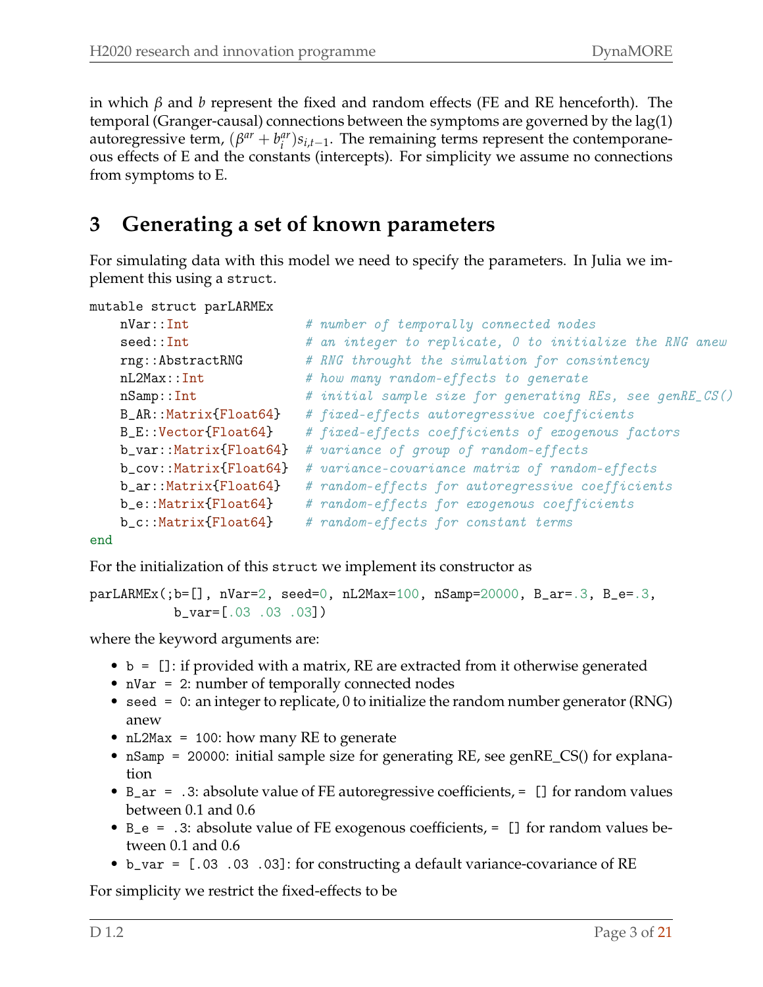in which *β* and *b* represent the fixed and random effects (FE and RE henceforth). The temporal (Granger-causal) connections between the symptoms are governed by the lag(1) autoregressive term,  $(\beta^{ar} + b_i^{ar})$ *<sup>ar</sup>*) $s$ <sub>*i*</sub>,*t*−1</sub>. The remaining terms represent the contemporaneous effects of E and the constants (intercepts). For simplicity we assume no connections from symptoms to E.

#### **3 Generating a set of known parameters**

For simulating data with this model we need to specify the parameters. In Julia we implement this using a struct.

```
mutable struct parLARMEx
```

```
nVar::Int \# number of temporally connected nodes
seed::Int # an integer to replicate, 0 to initialize the RNG anew
rng::AbstractRNG # RNG throught the simulation for consintency
nL2Max::Int # how many random-effects to generate
nSamp::Int # initial sample size for generating REs, see genRE_CS()
B_AR::Matrix{Float64} # fixed-effects autoregressive coefficients
B_E::Vector{Float64} # fixed-effects coefficients of exogenous factors
b_var::Matrix{Float64} # variance of group of random-effects
b_cov::Matrix{Float64} # variance-covariance matrix of random-effects
b_ar::Matrix{Float64} # random-effects for autoregressive coefficients
b_e::Matrix{Float64} # random-effects for exogenous coefficients
b_c::Matrix{Float64} # random-effects for constant terms
```
end

For the initialization of this struct we implement its constructor as

```
parLARMEx(;b=[], nVar=2, seed=0, nL2Max=100, nSamp=20000, B_ar=.3, B_e=.3,
           b_var=[.03 .03 .03])
```
where the keyword arguments are:

- b = []: if provided with a matrix, RE are extracted from it otherwise generated
- nVar = 2: number of temporally connected nodes
- seed = 0: an integer to replicate, 0 to initialize the random number generator (RNG) anew
- nL2Max = 100: how many RE to generate
- nSamp = 20000: initial sample size for generating RE, see genRE\_CS() for explanation
- B\_ar = .3: absolute value of FE autoregressive coefficients, = [] for random values between 0.1 and 0.6
- B\_e = .3: absolute value of FE exogenous coefficients, = [] for random values between 0.1 and 0.6
- b\_var = [.03 .03 .03]: for constructing a default variance-covariance of RE

For simplicity we restrict the fixed-effects to be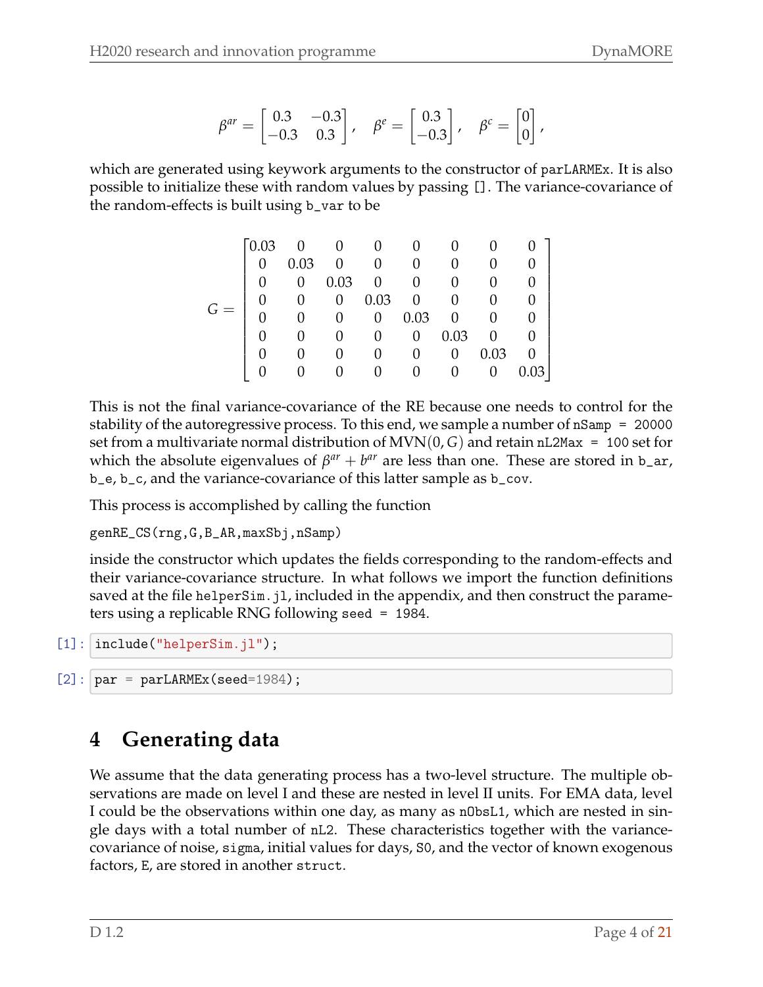$$
\beta^{ar} = \begin{bmatrix} 0.3 & -0.3 \\ -0.3 & 0.3 \end{bmatrix}, \quad \beta^e = \begin{bmatrix} 0.3 \\ -0.3 \end{bmatrix}, \quad \beta^c = \begin{bmatrix} 0 \\ 0 \end{bmatrix},
$$

which are generated using keywork arguments to the constructor of parLARMEx. It is also possible to initialize these with random values by passing []. The variance-covariance of the random-effects is built using b\_var to be

|  | 0.03             |      |      |                |                |      |      |  |
|--|------------------|------|------|----------------|----------------|------|------|--|
|  |                  | 0.03 |      |                | $\overline{0}$ |      |      |  |
|  |                  |      | 0.03 |                |                |      |      |  |
|  | $\left( \right)$ |      | 0    | 0.03           | 0              | 0    |      |  |
|  |                  |      |      | $\overline{0}$ | 0.03           | 0    |      |  |
|  |                  |      |      |                | $\theta$       | 0.03 |      |  |
|  |                  |      |      |                |                | 0    | 0.03 |  |
|  |                  |      |      |                |                |      |      |  |

This is not the final variance-covariance of the RE because one needs to control for the stability of the autoregressive process. To this end, we sample a number of nSamp = 20000 set from a multivariate normal distribution of  $MVN(0, G)$  and retain nL2Max = 100 set for which the absolute eigenvalues of  $\beta^{ar} + b^{ar}$  are less than one. These are stored in b\_ar, b\_e, b\_c, and the variance-covariance of this latter sample as b\_cov.

This process is accomplished by calling the function

```
genRE_CS(rng,G,B_AR,maxSbj,nSamp)
```
inside the constructor which updates the fields corresponding to the random-effects and their variance-covariance structure. In what follows we import the function definitions saved at the file helperSim. jl, included in the appendix, and then construct the parameters using a replicable RNG following seed = 1984.

```
[1]: | include("helperSim.jl");
```

```
[2]: \sigma = \text{parLARMEx}(\text{seed}=1984);
```
## **4 Generating data**

We assume that the data generating process has a two-level structure. The multiple observations are made on level I and these are nested in level II units. For EMA data, level I could be the observations within one day, as many as nObsL1, which are nested in single days with a total number of nL2. These characteristics together with the variancecovariance of noise, sigma, initial values for days, S0, and the vector of known exogenous factors, E, are stored in another struct.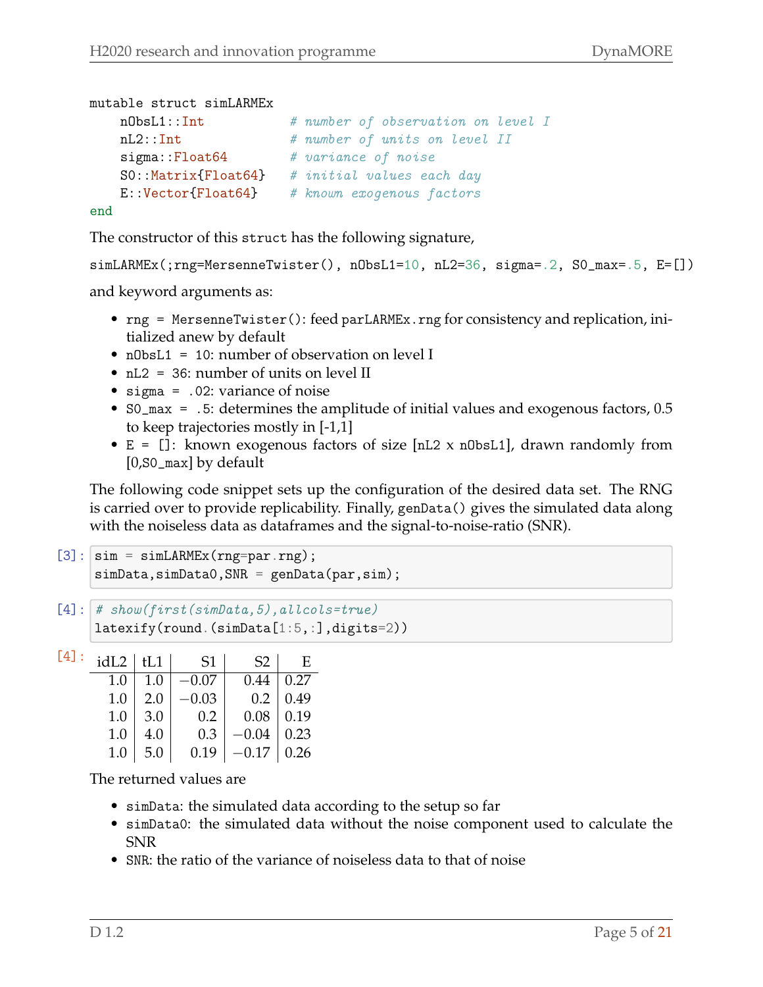```
mutable struct simLARMEx
   nObsL1::Int # number of observation on level I
   nL2::Int # number of units on level II
   sigma::Float64 # variance of noise
   S0::Matrix{Float64} # initial values each day
   E::Vector{Float64} # known exogenous factors
end
```
The constructor of this struct has the following signature,

```
simLARMEx(;rng=MersenneTwister(), nObsL1=10, nL2=36, sigma=.2, S0_max=.5, E=[])
```
and keyword arguments as:

- rng = MersenneTwister(): feed parLARMEx.rng for consistency and replication, initialized anew by default
- n0bsL1 = 10: number of observation on level I
- $nL2 = 36$ : number of units on level II
- sigma = .02: variance of noise
- S0\_max = .5: determines the amplitude of initial values and exogenous factors, 0.5 to keep trajectories mostly in [-1,1]
- $E = []$ : known exogenous factors of size [nL2 x n0bsL1], drawn randomly from [0,S0\_max] by default

The following code snippet sets up the configuration of the desired data set. The RNG is carried over to provide replicability. Finally, genData() gives the simulated data along with the noiseless data as dataframes and the signal-to-noise-ratio (SNR).

```
[3]: \sin = \sin \text{LARMEx}(\text{rng=par.rng});simData,simData0, SNR = genData(par,sim);
```

```
[4]: # show(first(simData, 5), allcols=true)
     latexify(round.(simData[1:5,:],digits=2))
```

| $[4]$ : | $idL2$   tL1 |         | S1      | S2               | E    |
|---------|--------------|---------|---------|------------------|------|
|         | 1.0          | $1.0\,$ | $-0.07$ | $0.44 \mid 0.27$ |      |
|         | 1.0          | 2.0     | $-0.03$ | $0.2\,$          | 0.49 |
|         | 1.0          | 3.0     | $0.2\,$ | $0.08 \mid 0.19$ |      |
|         | 1.0          | 4.0     | 0.3     | $-0.04$   0.23   |      |
|         | 1.0          | 5.0     | 0.19    | $-0.17$   0.26   |      |

The returned values are

- simData: the simulated data according to the setup so far
- simData0: the simulated data without the noise component used to calculate the SNR
- SNR: the ratio of the variance of noiseless data to that of noise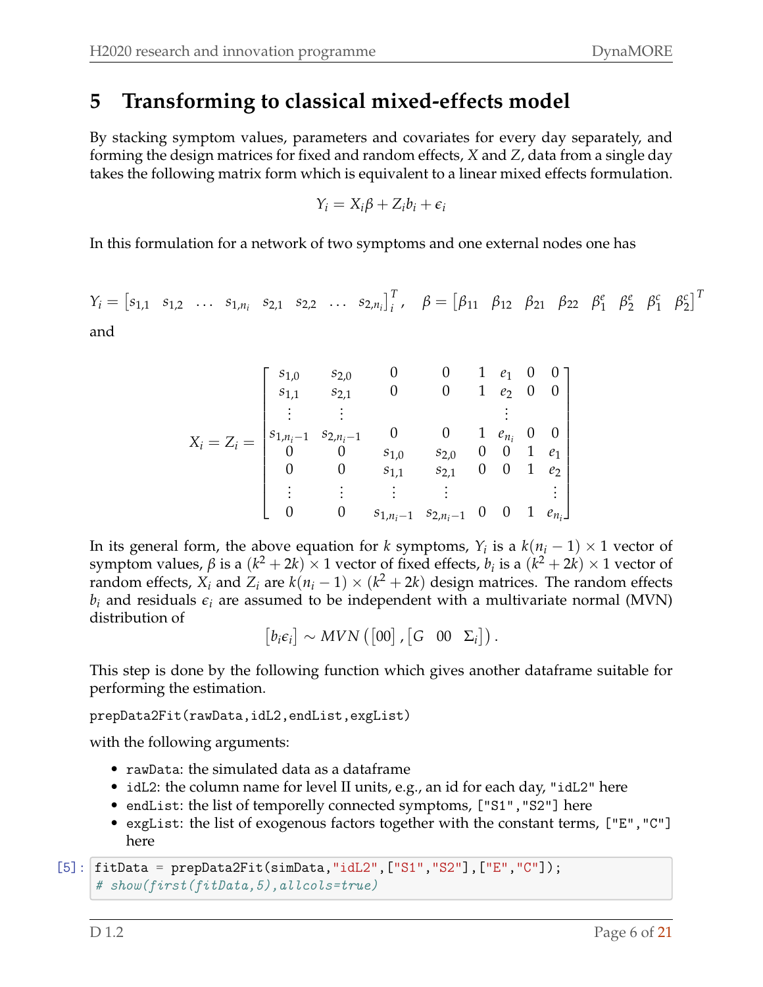#### **5 Transforming to classical mixed-effects model**

By stacking symptom values, parameters and covariates for every day separately, and forming the design matrices for fixed and random effects, *X* and *Z*, data from a single day takes the following matrix form which is equivalent to a linear mixed effects formulation.

$$
Y_i = X_i \beta + Z_i b_i + \epsilon_i
$$

In this formulation for a network of two symptoms and one external nodes one has

$$
Y_i = [s_{1,1} \ s_{1,2} \ \ldots \ s_{1,n_i} \ s_{2,1} \ s_{2,2} \ \ldots \ s_{2,n_i}]_i^T, \quad \beta = [\beta_{11} \ \beta_{12} \ \beta_{21} \ \beta_{22} \ \beta_1^e \ \beta_2^e \ \beta_1^c \ \beta_2^c]^T
$$

and

$$
X_{i} = Z_{i} = \begin{bmatrix} s_{1,0} & s_{2,0} & 0 & 0 & 1 & e_{1} & 0 & 0 \\ s_{1,1} & s_{2,1} & 0 & 0 & 1 & e_{2} & 0 & 0 \\ \vdots & \vdots & & & & \vdots & & \\ s_{1,n_{i}-1} & s_{2,n_{i}-1} & 0 & 0 & 1 & e_{n_{i}} & 0 & 0 \\ 0 & 0 & s_{1,0} & s_{2,0} & 0 & 0 & 1 & e_{1} \\ 0 & 0 & s_{1,1} & s_{2,1} & 0 & 0 & 1 & e_{2} \\ \vdots & \vdots & \vdots & \vdots & & & \vdots & \\ 0 & 0 & s_{1,n_{i}-1} & s_{2,n_{i}-1} & 0 & 0 & 1 & e_{n_{i}} \end{bmatrix}
$$

In its general form, the above equation for *k* symptoms,  $Y_i$  is a  $k(n_i - 1) \times 1$  vector of symptom values, *β* is a  $(k^2 + 2k) \times 1$  vector of fixed effects, *b<sub>i</sub>* is a  $(k^2 + 2k) \times 1$  vector of random effects,  $X_i$  and  $Z_i$  are  $k(n_i-1) \times (k^2+2k)$  design matrices. The random effects  $b_i$  and residuals  $\epsilon_i$  are assumed to be independent with a multivariate normal (MVN) distribution of

$$
[b_i \epsilon_i] \sim MVN\left([00], [G \ 00 \Sigma_i]\right).
$$

This step is done by the following function which gives another dataframe suitable for performing the estimation.

prepData2Fit(rawData,idL2,endList,exgList)

with the following arguments:

- rawData: the simulated data as a dataframe
- idL2: the column name for level II units, e.g., an id for each day, "idL2" here
- endList: the list of temporelly connected symptoms, ["S1", "S2"] here
- exgList: the list of exogenous factors together with the constant terms, ["E","C"] here

```
[5]: [fitData = prepData2Fit(simData,"idL2",["S1","S2"],["E","C"]);
     # show(first(fitData,5),allcols=true)
```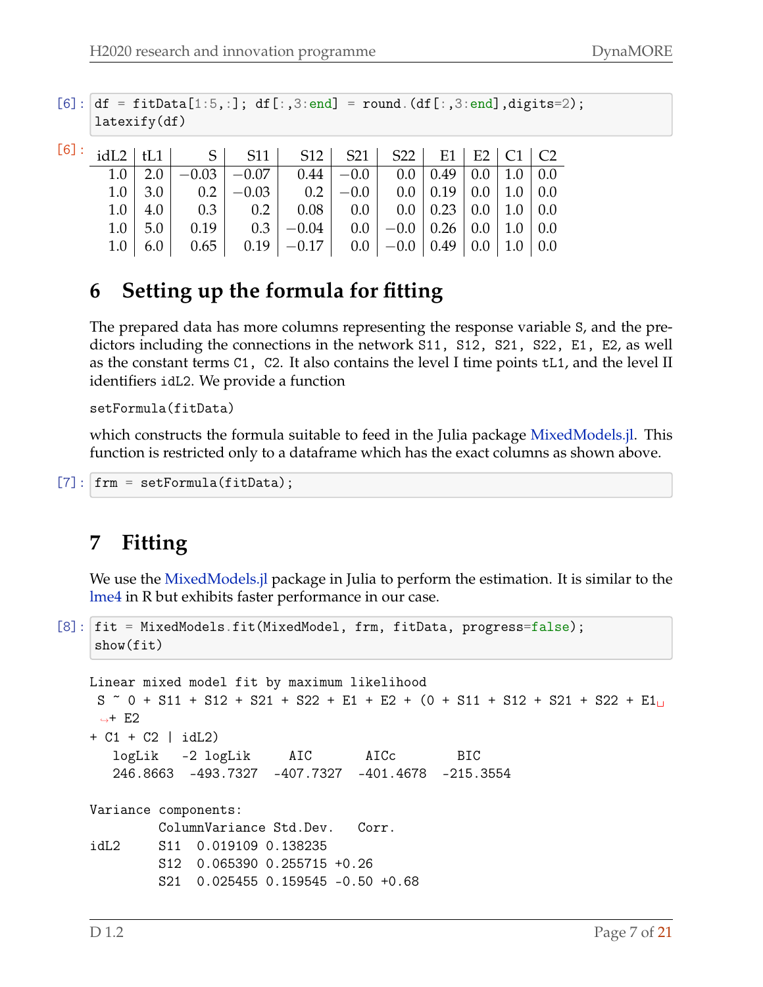$[6]$ :  $df = fitData[1:5,:]; df[:,3:end] = round.(df[:,3:end], digits=2);$ latexify(df)

|  | $1.0$   2.0   $-0.03$   $-0.07$   0.44   $-0.0$   0.0   0.49   0.0   1.0   0.0          |  |  |  |  |
|--|-----------------------------------------------------------------------------------------|--|--|--|--|
|  | $1.0$   3.0   0.2   -0.03   0.2   -0.0   0.0   0.19   0.0   1.0   0.0                   |  |  |  |  |
|  | $1.0$   $4.0$   $0.3$   $0.2$   $0.08$   $0.0$   $0.0$   $0.23$   $0.0$   $1.0$   $0.0$ |  |  |  |  |
|  | $1.0$   5.0   0.19   0.3   -0.04   0.0   -0.0   0.26   0.0   1.0   0.0                  |  |  |  |  |
|  | $1.0$   6.0   0.65   0.19   -0.17   0.0   -0.0   0.49   0.0   1.0   0.0                 |  |  |  |  |

#### **6 Setting up the formula for fitting**

The prepared data has more columns representing the response variable S, and the predictors including the connections in the network S11, S12, S21, S22, E1, E2, as well as the constant terms C1, C2. It also contains the level I time points tL1, and the level II identifiers idL2. We provide a function

setFormula(fitData)

which constructs the formula suitable to feed in the Julia package [MixedModels.jl.](https://juliastats.org/MixedModels.jl/stable/) This function is restricted only to a dataframe which has the exact columns as shown above.

```
[7]: frm = setFormula(fitData);
```
#### **7 Fitting**

We use the MixedModels. *i* package in Julia to perform the estimation. It is similar to the [lme4](https://github.com/lme4/lme4) in R but exhibits faster performance in our case.

```
[8]: fit = MixedModels.fit(MixedModel, frm, fitData, progress=false);
    show(fit)
```

```
Linear mixed model fit by maximum likelihood
S \degree 0 + S11 + S12 + S21 + S22 + E1 + E2 + (0 + S11 + S12 + S21 + S22 + E1<sub>U</sub>
 \rightarrow E2
+ C1 + C2 | idL2)
  logLik -2 logLik AIC AICc BIC
   246.8663 -493.7327 -407.7327 -401.4678 -215.3554
Variance components:
        ColumnVariance Std.Dev. Corr.
idL2 S11 0.019109 0.138235
        S12 0.065390 0.255715 +0.26
        S21 0.025455 0.159545 -0.50 +0.68
```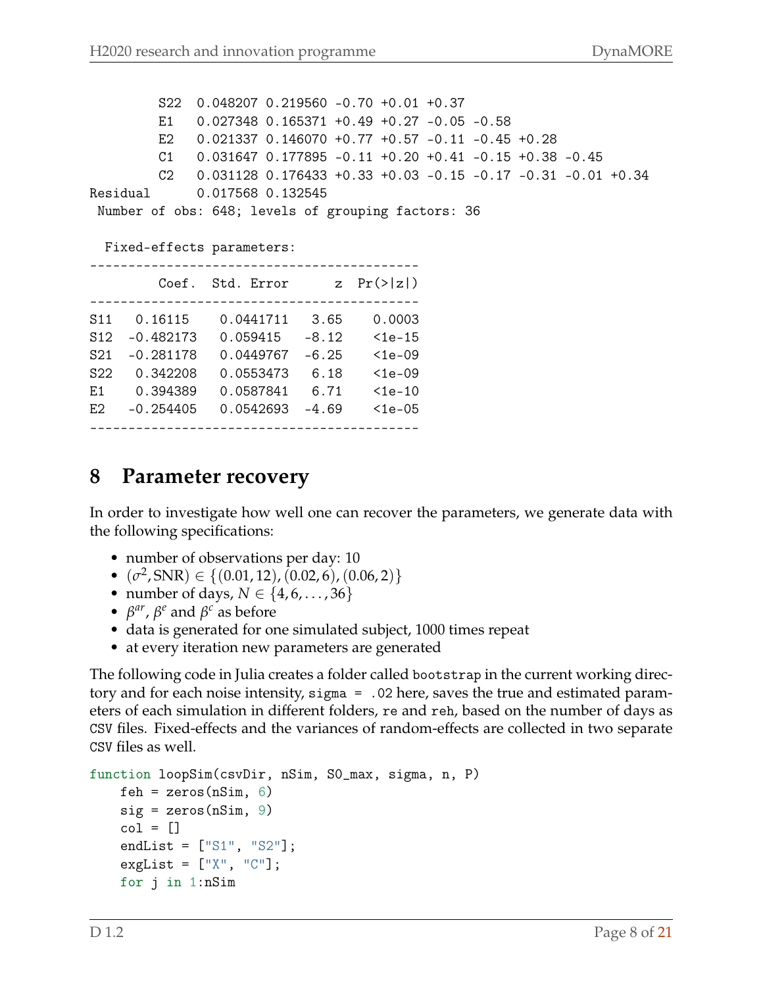S22 0.048207 0.219560 -0.70 +0.01 +0.37 E1 0.027348 0.165371 +0.49 +0.27 -0.05 -0.58 E2 0.021337 0.146070 +0.77 +0.57 -0.11 -0.45 +0.28 C1 0.031647 0.177895 -0.11 +0.20 +0.41 -0.15 +0.38 -0.45 C2 0.031128 0.176433 +0.33 +0.03 -0.15 -0.17 -0.31 -0.01 +0.34 Residual 0.017568 0.132545 Number of obs: 648; levels of grouping factors: 36

#### Fixed-effects parameters:

|                                    | Coef.                   | Std. Error             | Z <sub>1</sub>  | Pr(> z )           |
|------------------------------------|-------------------------|------------------------|-----------------|--------------------|
| S <sub>11</sub><br>S <sub>12</sub> | 0.16115<br>$-0.482173$  | 0.0441711<br>0.059415  | 3.65<br>$-8.12$ | 0.0003<br>$1e-15$  |
| S <sub>21</sub><br>S <sub>22</sub> | $-0.281178$<br>0.342208 | 0.0449767<br>0.0553473 | $-6.25$<br>6.18 | $1e-09$<br>$1e-09$ |
| F.1                                | 0.394389                | 0.0587841              | 6.71            | $1e-10$            |
| F.2                                | $-0.254405$             | 0.0542693              | $-4.69$         | $1e-05$            |

#### **8 Parameter recovery**

In order to investigate how well one can recover the parameters, we generate data with the following specifications:

- number of observations per day: 10
- $(\sigma^2, SNR) \in \{(0.01, 12), (0.02, 6), (0.06, 2)\}\$
- number of days, *N* ∈ {4, 6, . . . , 36}
- $\beta^{ar}$ ,  $\beta^e$  and  $\beta^c$  as before
- data is generated for one simulated subject, 1000 times repeat
- at every iteration new parameters are generated

The following code in Julia creates a folder called bootstrap in the current working directory and for each noise intensity, sigma = .02 here, saves the true and estimated parameters of each simulation in different folders, re and reh, based on the number of days as CSV files. Fixed-effects and the variances of random-effects are collected in two separate CSV files as well.

```
function loopSim(csvDir, nSim, S0_max, sigma, n, P)
    feh = zeros(nSim, 6)sig = zeros(nSim, 9)col = []endList = ["S1", "S2"];
    exglist = [\nVert x \nVert, \nVert C \nVert];for j in 1:nSim
```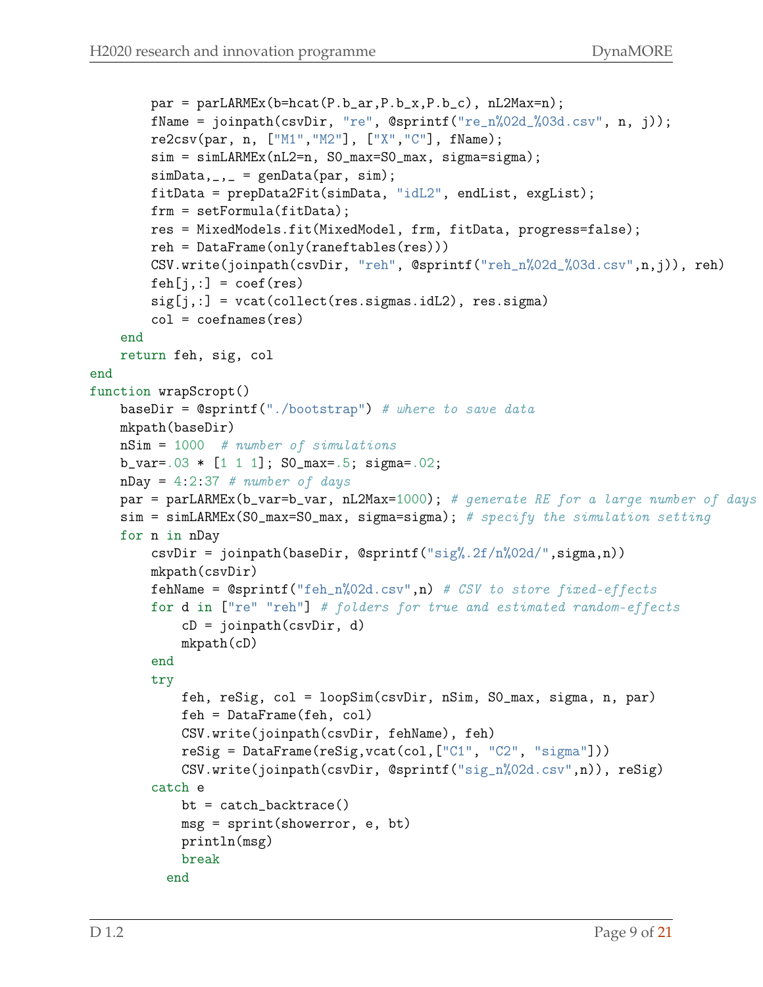```
par = parLARMEx(b=hcat(P.b_aar,P.b_x,P.b_c), nL2Max=n);fName = joinpath(csvDir, "re", @sprintf("re_n%02d_%03d.csv", n, j));
        re2csv(par, n, ["M1","M2"], ["X","C"], fName);
        sim = simLARMEx(nL2=n, S0_max=S0_max, sigma=sigma);
        simData, _{-,-} = genData(par, sim);
        fitData = prepData2Fit(simData, "idL2", endList, exgList);
        frm = setFormula(fitData);
        res = MixedModels.fit(MixedModel, frm, fitData, progress=false);
        reh = DataFrame(only(raneftables(res)))
        CSV.write(joinpath(csvDir, "reh", @sprintf("reh_n%02d_%03d.csv",n,j)), reh)
        feh[j,:] = coef(res)sig[j,:] = vac(collect(res.sigmas.idL2), res.sigma)col = coefnames(res)end
    return feh, sig, col
end
function wrapScropt()
    baseDir = @sprintf("./bootstrap") # where to save data
    mkpath(baseDir)
    nSim = 1000 # number of simulations
    b_{var} = .03 * [1 1 1]; SO_{max} = .5; sigma = .02;nDay = 4:2:37 # number of days
    par = parLARMEx(b_var=b_var, nL2Max=1000); # generate RE for a large number of days
    sim = simLARMEx(SO_max=SO_max, sigma=sigma); # specify the simulation setting
    for n in nDay
        csvDir = joinpath(baseDir, @sprintf("sig%.2f/n%02d/",sigma,n))
        mkpath(csvDir)
        fehName = @sprintf("feh_n%02d.csv",n) # CSV to store fixed-effects
        for d in ["re" "reh"] # folders for true and estimated random-effects
            cD = \text{joinpath}(csvDir, d)mkpath(cD)
        end
        try
            feh, reSig, col = loopSim(csvDir, nSim, S0_max, sigma, n, par)
            feh = DataFrame(feh, col)
            CSV.write(joinpath(csvDir, fehName), feh)
            reSig = DataFrame(reSig,vcat(col,["C1", "C2", "sigma"]))
            CSV.write(joinpath(csvDir, @sprintf("sig_n%02d.csv",n)), reSig)
        catch e
            bt = catch_backtrace()
            msg = sprint(showerror, e, bt)
            println(msg)
            break
          end
```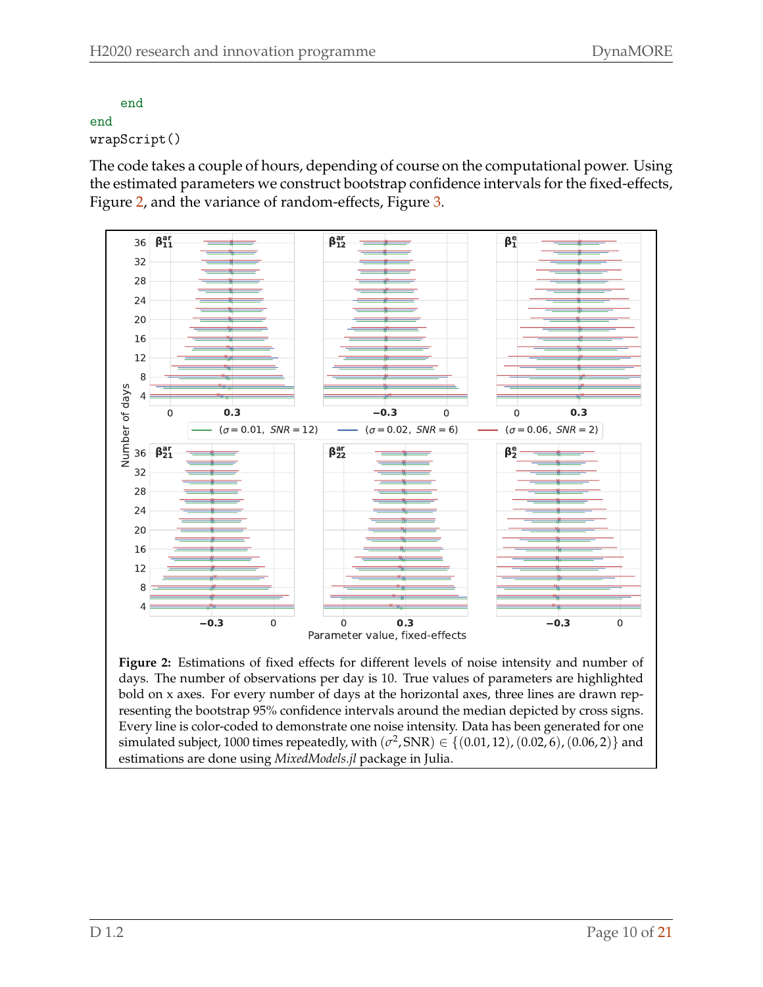```
end
end
wrapScript()
```
The code takes a couple of hours, depending of course on the computational power. Using the estimated parameters we construct bootstrap confidence intervals for the fixed-effects, Figure [2,](#page-10-0) and the variance of random-effects, Figure [3.](#page-11-0)

<span id="page-10-0"></span>

**Figure 2:** Estimations of fixed effects for different levels of noise intensity and number of days. The number of observations per day is 10. True values of parameters are highlighted bold on x axes. For every number of days at the horizontal axes, three lines are drawn representing the bootstrap 95% confidence intervals around the median depicted by cross signs. Every line is color-coded to demonstrate one noise intensity. Data has been generated for one simulated subject, 1000 times repeatedly, with  $(\sigma^2, \text{SNR}) \in \{(0.01, 12), (0.02, 6), (0.06, 2)\}$  and estimations are done using *MixedModels.jl* package in Julia.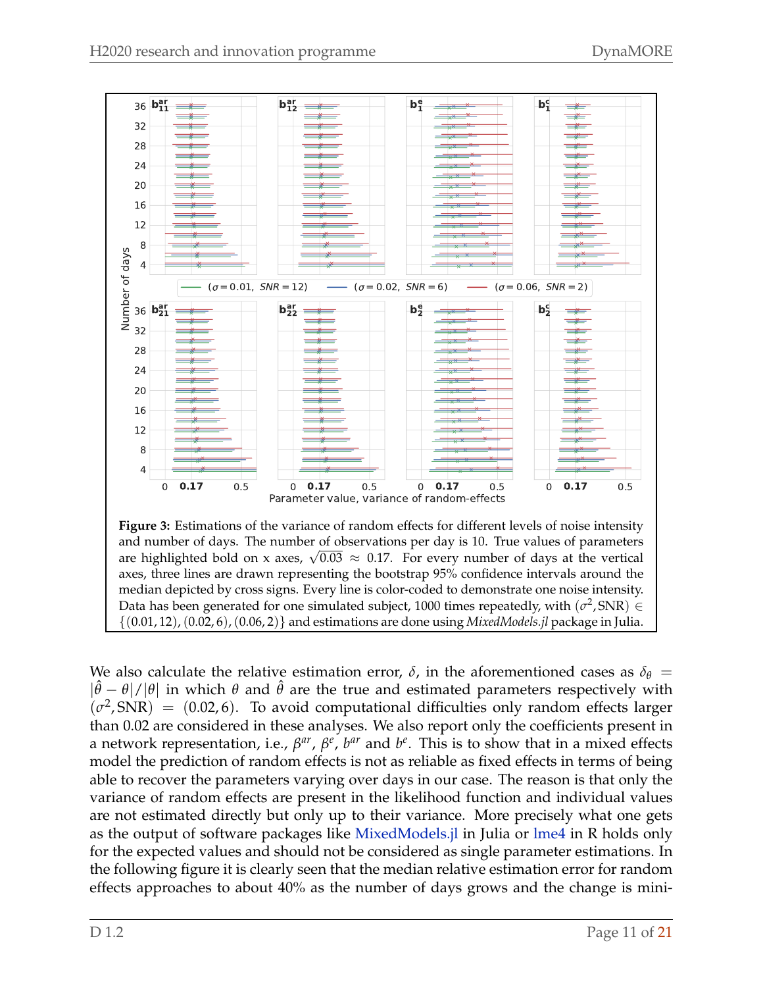<span id="page-11-0"></span>

We also calculate the relative estimation error,  $\delta$ , in the aforementioned cases as  $\delta_{\theta}$  =  $|\hat{\theta} - \theta|/|\theta|$  in which  $\theta$  and  $\hat{\theta}$  are the true and estimated parameters respectively with  $(\sigma^2, SNR) = (0.02, 6)$ . To avoid computational difficulties only random effects larger than 0.02 are considered in these analyses. We also report only the coefficients present in a network representation, i.e.,  $β^{ar}$ ,  $β^e$ ,  $b^{ar}$  and  $b^e$ . This is to show that in a mixed effects model the prediction of random effects is not as reliable as fixed effects in terms of being able to recover the parameters varying over days in our case. The reason is that only the variance of random effects are present in the likelihood function and individual values are not estimated directly but only up to their variance. More precisely what one gets as the output of software packages like [MixedModels.jl](https://juliastats.org/MixedModels.jl/stable/) in Julia or [lme4](https://github.com/lme4/lme4) in R holds only for the expected values and should not be considered as single parameter estimations. In the following figure it is clearly seen that the median relative estimation error for random effects approaches to about 40% as the number of days grows and the change is mini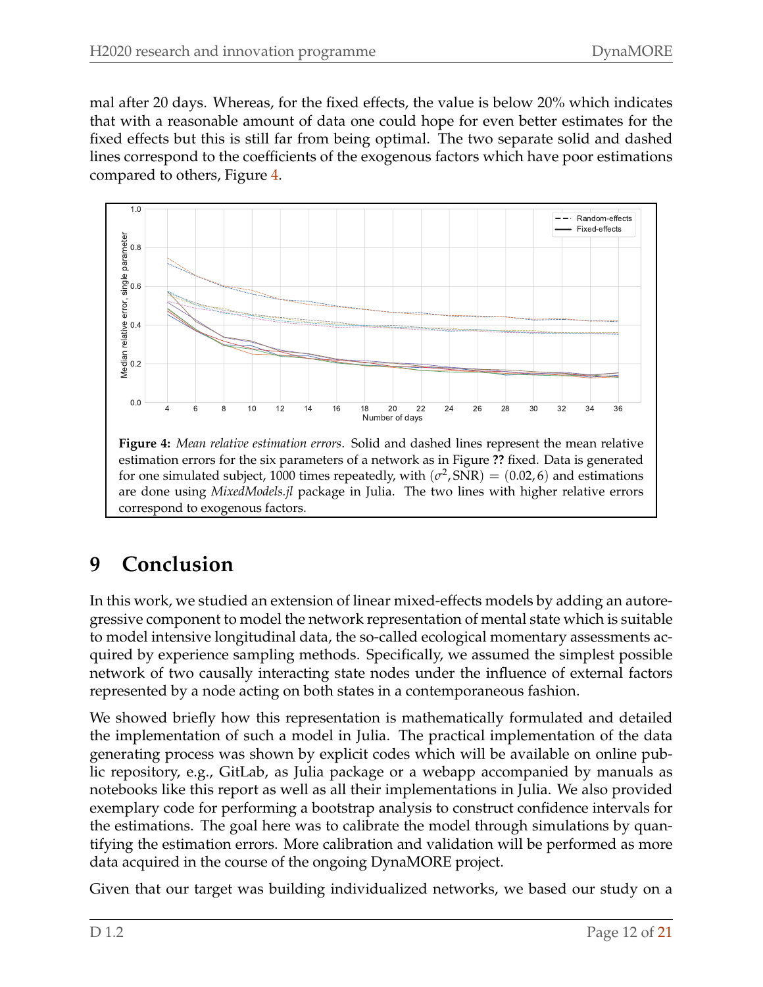mal after 20 days. Whereas, for the fixed effects, the value is below 20% which indicates that with a reasonable amount of data one could hope for even better estimates for the fixed effects but this is still far from being optimal. The two separate solid and dashed lines correspond to the coefficients of the exogenous factors which have poor estimations compared to others, Figure [4.](#page-12-0)

<span id="page-12-0"></span>

**Figure 4:** *Mean relative estimation errors*. Solid and dashed lines represent the mean relative estimation errors for the six parameters of a network as in Figure **??** fixed. Data is generated for one simulated subject, 1000 times repeatedly, with  $(\sigma^2, SNR) = (0.02, 6)$  and estimations are done using *MixedModels.jl* package in Julia. The two lines with higher relative errors correspond to exogenous factors.

## **9 Conclusion**

In this work, we studied an extension of linear mixed-effects models by adding an autoregressive component to model the network representation of mental state which is suitable to model intensive longitudinal data, the so-called ecological momentary assessments acquired by experience sampling methods. Specifically, we assumed the simplest possible network of two causally interacting state nodes under the influence of external factors represented by a node acting on both states in a contemporaneous fashion.

We showed briefly how this representation is mathematically formulated and detailed the implementation of such a model in Julia. The practical implementation of the data generating process was shown by explicit codes which will be available on online public repository, e.g., GitLab, as Julia package or a webapp accompanied by manuals as notebooks like this report as well as all their implementations in Julia. We also provided exemplary code for performing a bootstrap analysis to construct confidence intervals for the estimations. The goal here was to calibrate the model through simulations by quantifying the estimation errors. More calibration and validation will be performed as more data acquired in the course of the ongoing DynaMORE project.

Given that our target was building individualized networks, we based our study on a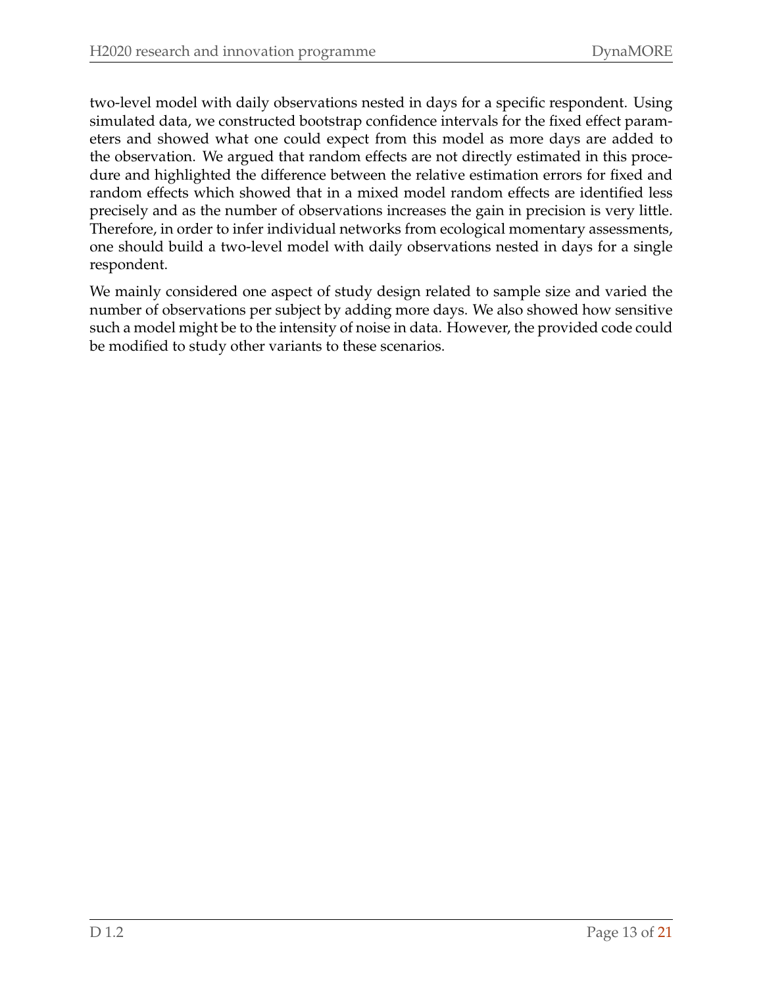two-level model with daily observations nested in days for a specific respondent. Using simulated data, we constructed bootstrap confidence intervals for the fixed effect parameters and showed what one could expect from this model as more days are added to the observation. We argued that random effects are not directly estimated in this procedure and highlighted the difference between the relative estimation errors for fixed and random effects which showed that in a mixed model random effects are identified less precisely and as the number of observations increases the gain in precision is very little. Therefore, in order to infer individual networks from ecological momentary assessments, one should build a two-level model with daily observations nested in days for a single respondent.

We mainly considered one aspect of study design related to sample size and varied the number of observations per subject by adding more days. We also showed how sensitive such a model might be to the intensity of noise in data. However, the provided code could be modified to study other variants to these scenarios.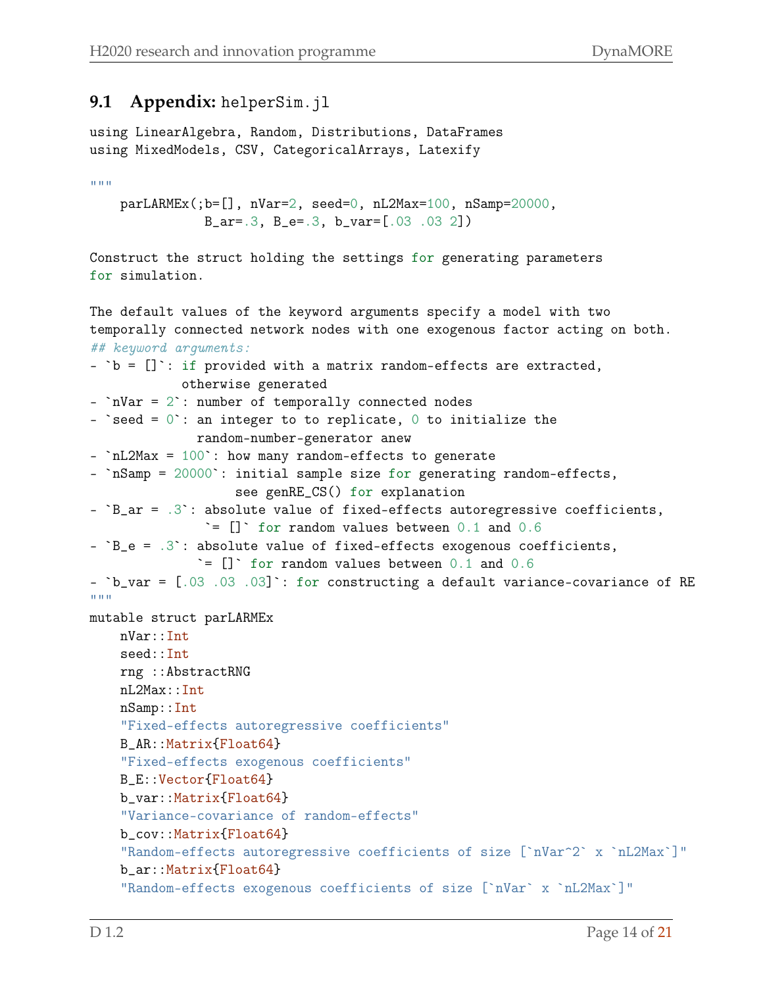#### **9.1 Appendix:** helperSim.jl

using LinearAlgebra, Random, Distributions, DataFrames using MixedModels, CSV, CategoricalArrays, Latexify

 $"$ """

parLARMEx(;b=[], nVar=2, seed=0, nL2Max=100, nSamp=20000, B\_ar=.3, B\_e=.3, b\_var=[.03 .03 2])

Construct the struct holding the settings for generating parameters for simulation.

```
The default values of the keyword arguments specify a model with two
temporally connected network nodes with one exogenous factor acting on both.
## keyword arguments:
- b = [] : if provided with a matrix random-effects are extracted,
            otherwise generated
- `nVar = 2`: number of temporally connected nodes
- `seed = 0`: an integer to to replicate, 0 to initialize the
              random-number-generator anew
- `nL2Max = 100`: how many random-effects to generate
- `nSamp = 20000`: initial sample size for generating random-effects,
                   see genRE_CS() for explanation
- {}^{\circ}B_{a}r = .3 : absolute value of fixed-effects autoregressive coefficients,
               \dot{=} [] \dot{} for random values between 0.1 and 0.6
- {}^{\circ}B_{-}e = .3': absolute value of fixed-effects exogenous coefficients,
              \equiv [] \circ for random values between 0.1 and 0.6
- `b_var = [.03 .03 .03]`: for constructing a default variance-covariance of RE
"""
mutable struct parLARMEx
    nVar::Int
    seed::Int
    rng ::AbstractRNG
    nL2Max::Int
    nSamp::Int
    "Fixed-effects autoregressive coefficients"
    B_AR::Matrix{Float64}
    "Fixed-effects exogenous coefficients"
    B_E::Vector{Float64}
    b_var::Matrix{Float64}
    "Variance-covariance of random-effects"
    b_cov::Matrix{Float64}
    "Random-effects autoregressive coefficients of size [`nVar^2` x `nL2Max`]"
    b_ar::Matrix{Float64}
    "Random-effects exogenous coefficients of size [`nVar` x `nL2Max`]"
```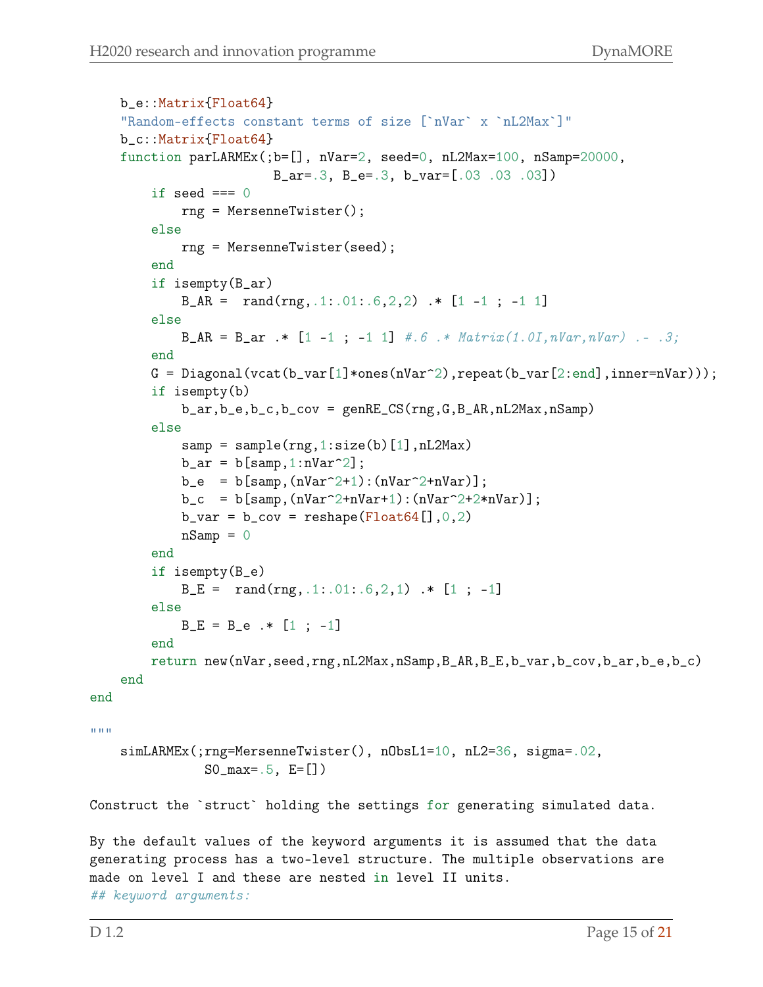```
b_e::Matrix{Float64}
    "Random-effects constant terms of size [`nVar` x `nL2Max`]"
    b_c::Matrix{Float64}
    function parLARMEx(;b=[], nVar=2, seed=0, nL2Max=100, nSamp=20000,
                        B_ar=.3, B_e=.3, b_var=[.03 .03 .03])
        if seed == 0rng = MersenneTwister();
        else
            rng = MersenneTwister(seed);
        end
        if isempty(B_ar)
            B_AR = rand(rng, .1:.01:.6, 2, 2) .* [1 -1 ; -1 1]
        else
            B_AR = B_ar : * [1 -1 ; -1 1] #.6 .* Matrix(1.0I, nVar, nVar) .- .3;
        end
        G = Diagonal(vcat(b_var[1]*ones(nVar^2),repeat(b_var[2:end],inner=nu)^));if isempty(b)
            b_ar,b_e,b_c,b_cov = genRE_CS(rng,G,B_AR,nL2Max,nSamp)
        else
            sample(rng, 1:size(b)[1], nL2Max)b_ar = b[samp,1:nVar^2];b_e = b[samp,(nVar^2+1):(nVar^2+nVar)];b_c = b[samp, (nVar^2+nVar+1):(nVar^2+2*nVar)];b_var = b_cov = reshape(Float64[], 0, 2)nSamp = 0end
        if isempty(B_e)
            B_E = \text{rand}(rng, .1:.01:.6, 2, 1) .* [1; -1]else
            B_E = B_e .* [1; -1]end
        return new(nVar,seed,rng,nL2Max,nSamp,B_AR,B_E,b_var,b_cov,b_ar,b_e,b_c)
    end
end
""""
    simLARMEx(;rng=MersenneTwister(), nObsL1=10, nL2=36, sigma=.02,
               SO_{max} = .5, E = []Construct the `struct` holding the settings for generating simulated data.
By the default values of the keyword arguments it is assumed that the data
generating process has a two-level structure. The multiple observations are
made on level I and these are nested in level II units.
## keyword arguments:
```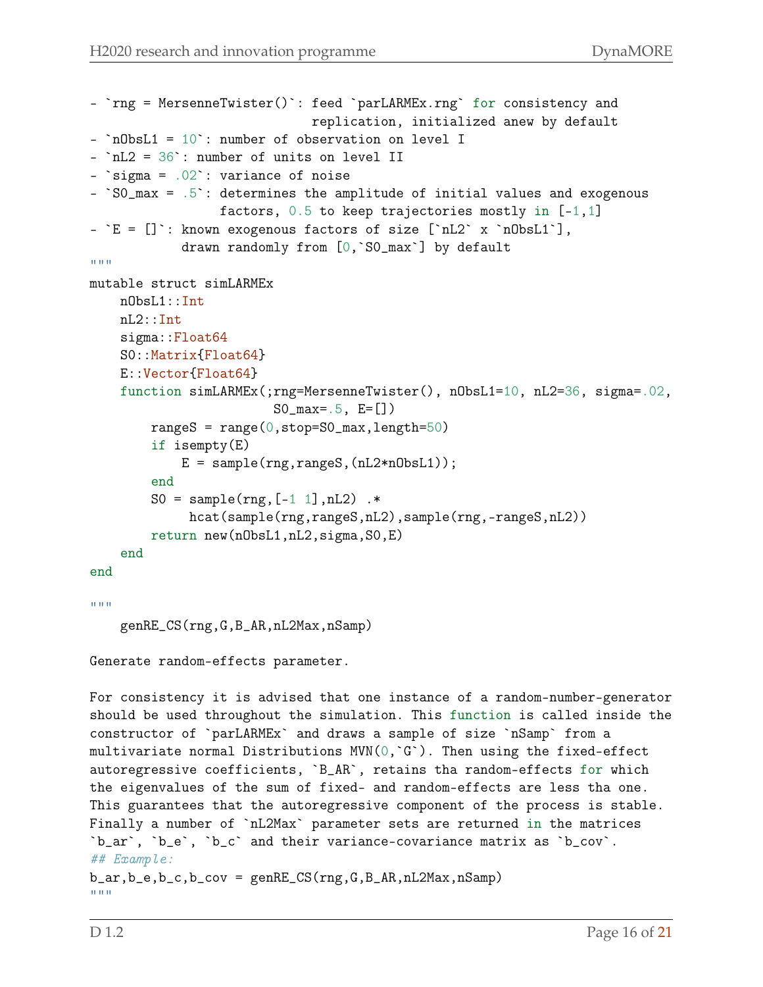```
- `rng = MersenneTwister()`: feed `parLARMEx.rng` for consistency and
                             replication, initialized anew by default
- `nObsL1 = 10`: number of observation on level I
- `nL2 = 36`: number of units on level II
- `sigma = .02 : variance of noise
- `S0_max = .5`: determines the amplitude of initial values and exogenous
                 factors, 0.5 to keep trajectories mostly in [-1,1]
- E = []: known exogenous factors of size ['nL2' x 'nObsL1'],
            drawn randomly from [0,`S0_max`] by default
"""
mutable struct simLARMEx
    nObsL1::Int
    nL2::Int
    sigma::Float64
    S0::Matrix{Float64}
    E::Vector{Float64}
    function simLARMEx(;rng=MersenneTwister(), nObsL1=10, nL2=36, sigma=.02,
                        SO_{max} = .5, E = []rangeS = range(0, stop=SO_max, length=50)if isempty(E)
            E = sample(rng,rangeS,(nL2*nObsL1));
        end
        S0 = sample(rng, [-1 1], nL2).*
             hcat(sample(rng,rangeS,nL2),sample(rng,-rangeS,nL2))
        return new(nObsL1,nL2,sigma,S0,E)
    end
end
"'' """
    genRE_CS(rng,G,B_AR,nL2Max,nSamp)
Generate random-effects parameter.
For consistency it is advised that one instance of a random-number-generator
should be used throughout the simulation. This function is called inside the
constructor of `parLARMEx` and draws a sample of size `nSamp` from a
multivariate normal Distributions MVN(0, {}^c G^c). Then using the fixed-effect
autoregressive coefficients, `B_AR`, retains tha random-effects for which
the eigenvalues of the sum of fixed- and random-effects are less tha one.
This guarantees that the autoregressive component of the process is stable.
Finally a number of `nL2Max` parameter sets are returned in the matrices
`b_ar`, `b_e`, `b_c` and their variance-covariance matrix as `b_cov`.
## Example:
b_ar,b_e,b_c,b_cov = genRECSS(rng, G, B_AR, nL2Max, nSamp)"""
```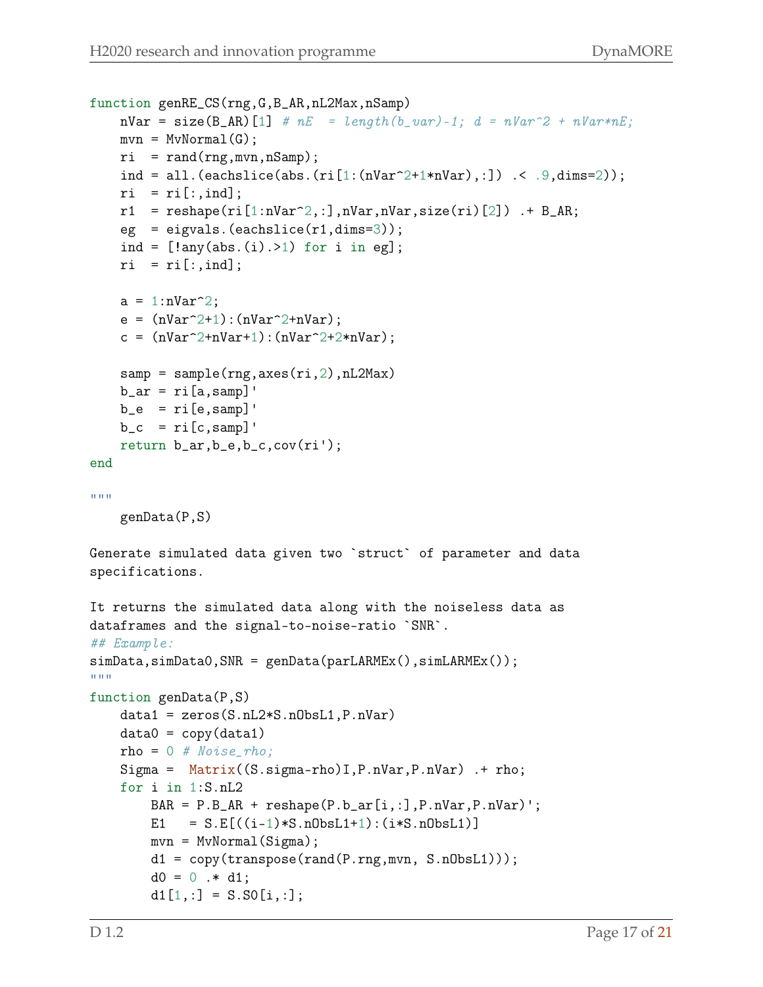```
function genRE_CS(rng, G, B_AR, nL2Max, nSamp)
    \mathbf{nVar} = \mathbf{size}(\mathbf{B}\_{\mathbf{AR}})[1] # nE = length(b\_var) - 1; d = nVar^2 + nVar^*nE;mvn = MvNormal(G);ri = rand(rng,mvn,nSamp);ind = all.(eachslice(abs.(ri[i:(nVar^2+1*nVar),:]) .< .9,dims=2));
    ri = ri[:,ind];r1 = reshape(ri[1:nVar^2, :],nVar,nVar,size(ri)[2]) .+ B_AR;
    eg = eigvals.(eachslice(r1, dims=3));ind = [!any(abs.(i).>1) for i in eg];
    ri = ri[:,ind];a = 1:nVar^2;e = (nVar^2+1):(nVar^2+nVar);c = (nVar^2+nVar+1): (nVar^2+2*nVar);
    \texttt{sample}(\texttt{rng},\texttt{axes}(\texttt{ri},2),\texttt{nl2Max})b_ar = ri[a,samp]b_e = ri[e, samp]b_c = ri[c, samp]return b_ar,b_e,b_c,cov(ri');
end
"'' """
    genData(P,S)
Generate simulated data given two `struct` of parameter and data
specifications.
It returns the simulated data along with the noiseless data as
dataframes and the signal-to-noise-ratio `SNR`.
## Example:
simData,simData0, SNR = genData(parLARMEx(),simLARMEx());
\cdots ""
function genData(P,S)
    data1 = zeros(S.nL2*S.nObsL1,P.nVar)
    data0 = copy(data1)rho = 0 # Noise\_rho;Sigma = Matrix((S.sigma-rho)I,P.nVar,P.nVar) .+ rho;
    for i in 1:S.nL2
        BAR = P.B_AR + reshape(P.b_ar[i,:],P.nVar,P.nVar)';
        E1 = S.E[((i-1)*S.nObsL1+1):(i*S.nObsL1)]mvn = MvNormal(Sigma);
        d1 = copy(transpose(rand(P.rng,mvn, S.nObsL1)));
        d0 = 0 .* d1;
        d1[1,:] = S.S0[i,:];
```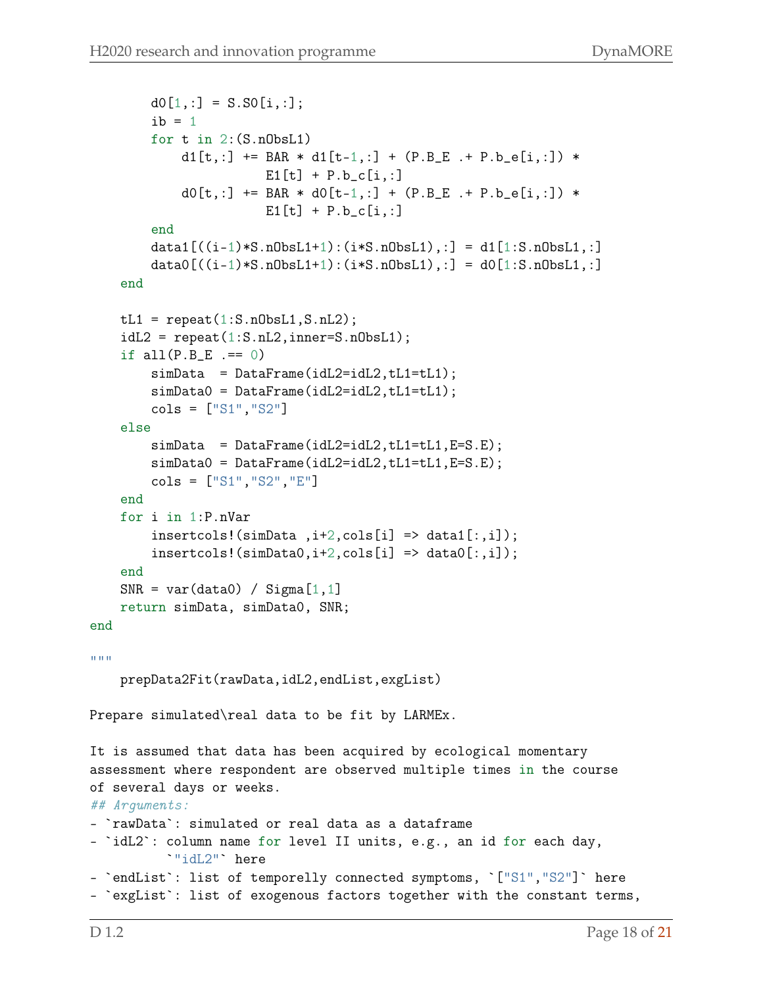```
d0[1,:] = S.S0[i,:];ib = 1for t in 2:(S.nObsL1)
            d1[t,:] += BAR * d1[t-1,:] + (P.B_E . + P.b_e[i,:]) *
                        E1[t] + P.b_c[i,:]d0[t,:] += BAR * d0[t-1,:] + (P.B_E + P.b_e[i,:]) *E1[t] + P.b_c[i,:]end
        data1[((i-1)*S.nObsL1+1):(i*S.nObsL1),:] = d1[1:S.nObsL1,:]data0[((i-1)*S.nObsL1+1):(i*S.nObsL1),:] = d0[1:S.nObsL1,:]end
    tL1 = repeat(1: S.nObsL1, S.nL2);idL2 = repeat(1: S.nL2, inner=S.nObsL1);if all(P.B_E == 0)simData = DataFrame(idL2=idL2, tL1=tL1);simData0 = DataFrame(idL2=idL2,tL1=tL1);
        \text{cols} = [\text{``S1''}, \text{``S2''}]else
        simData = DataFrame(idL2 = idL2, tL1 = tL1, E=S.E);simData0 = DataFrame(idL2=idL2,tL1=tL1,E=S.E);
        cols = ["S1","S2","E"]
    end
    for i in 1:P.nVar
        insertcols!(simData, i+2, cols[i] \Rightarrow data1[:, i]),insertcols!(simData0,i+2,cols[i] \Rightarrow data0[:,i]);
    end
    SNR = var(data0) / Signa[1,1]return simData, simData0, SNR;
end
"'' """
    prepData2Fit(rawData,idL2,endList,exgList)
Prepare simulated\real data to be fit by LARMEx.
It is assumed that data has been acquired by ecological momentary
assessment where respondent are observed multiple times in the course
of several days or weeks.
## Arguments:
- `rawData`: simulated or real data as a dataframe
- `idL2`: column name for level II units, e.g., an id for each day,
          `"idL2"` here
- `endList`: list of temporelly connected symptoms, `["S1","S2"]` here
- 'exgList': list of exogenous factors together with the constant terms,
```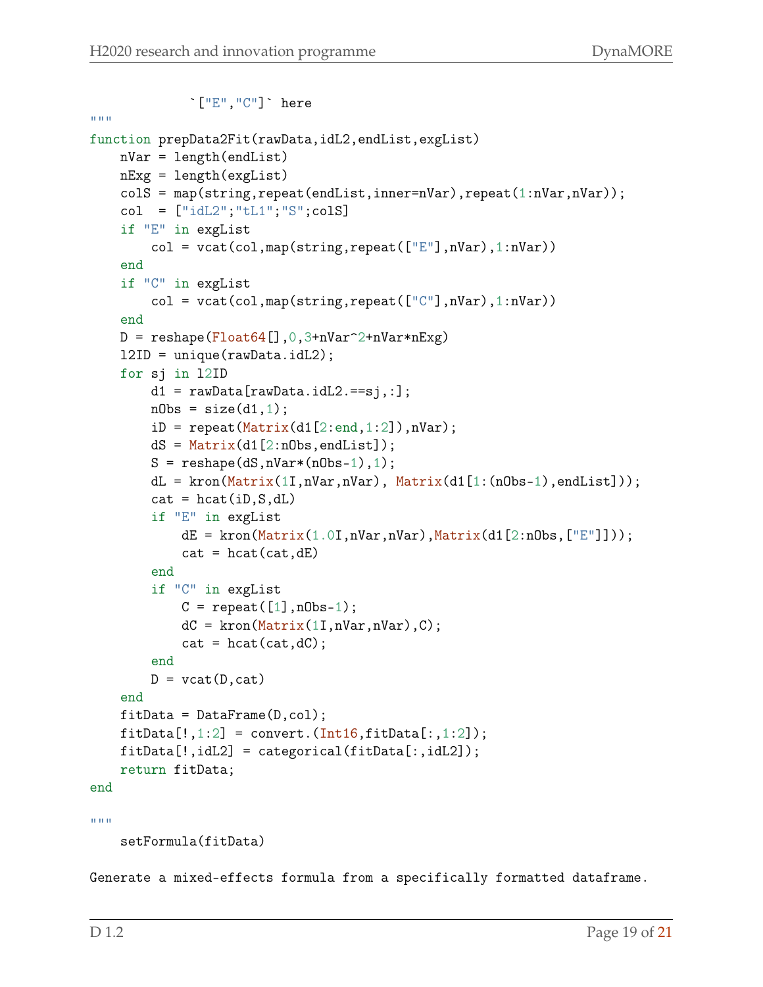```
`["E","C"]` here
"'' """
function prepData2Fit(rawData,idL2,endList,exgList)
    nVar = length(endList)
    nExg = length(exgList)
    colS = map(string,repeat(endList,inner=nVar),repeat(1:nVar,nVar));
    col = [\text{"idL2";\text{"tL1";\text{"S";colS}}]if "E" in exgList
         col = \text{vcat}(\text{col}, \text{map}(\text{string}, \text{repeat}([\ulcorner \mathbb{E} \urcorner], \text{nVar}), 1: \text{nVar}))end
    if "C" in exgList
         col = vacat(col, map(string, repeat([\lceil "C \rceil], nVar), 1:nVar))end
    D = reshape(Float64[], 0,3+nVar^2+nVar*nExp)
    l2ID = unique(rawData.idL2);
    for sj in l2ID
         d1 = rawData[rawData.idL2.==sj,:];nObs = size(d1, 1);iD = repeat(Matrix(d1[2:end, 1:2]), nVar);dS = Matrix(d1[2:nObs,endList]);S = reshape(dS, nVar*(nObs-1), 1);
         dL = kron(Matrix(11, nVar, nVar), Matrix(d1[1:(nObs-1), endList]));
         cat = hcat(iD, S, dL)if "E" in exgList
             dE = kron(Matrix(1.0I,nVar,nVar),Matrix(d1[2:nObs, ["E"])));
             cat = heat(cat, dE)end
         if "C" in exgList
             C = repeat([1], nObs-1);dC = kron(Matrix(11,nVar,nVar),C);cat = heat(cat, dC);end
         D = \text{vcat}(D, \text{cat})end
    fitData = DataFrame(D,col);fitData[:, 1:2] = convert.(Int16, fitData[:, 1:2]);fitData[!,idL2] = categorical(fitData[:,idL2]);
    return fitData;
end
""""
    setFormula(fitData)
```
Generate a mixed-effects formula from a specifically formatted dataframe.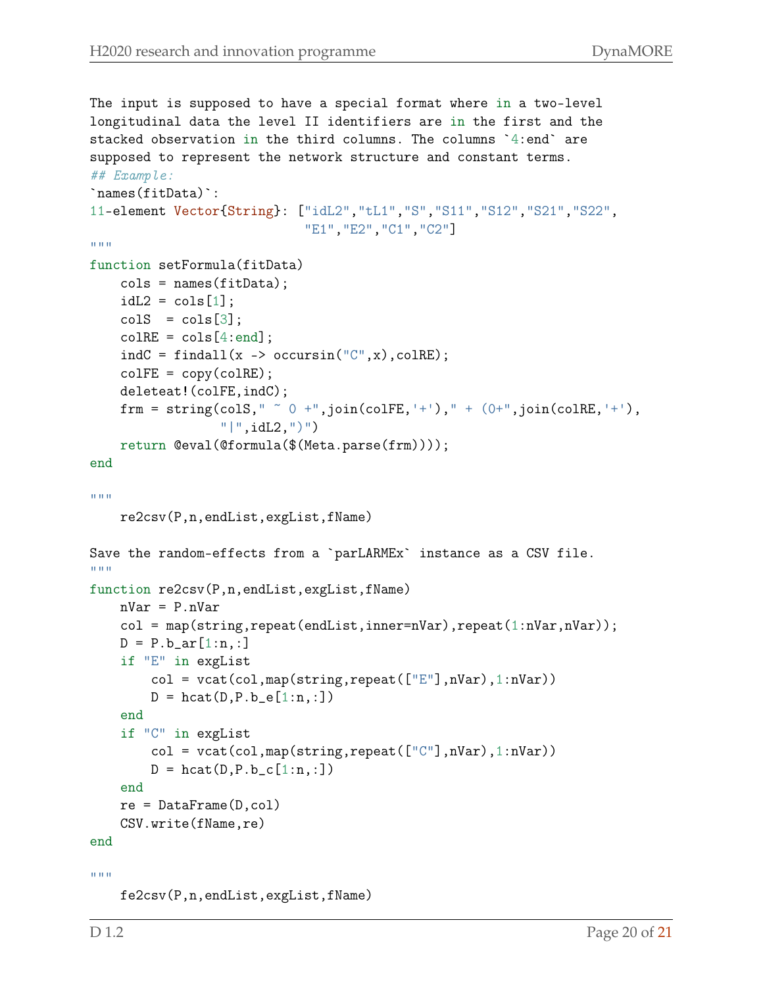```
The input is supposed to have a special format where in a two-level
longitudinal data the level II identifiers are in the first and the
stacked observation in the third columns. The columns `4:end` are
supposed to represent the network structure and constant terms.
## Example:
`names(fitData)`:
11-element Vector{String}: ["idL2","tL1","S","S11","S12","S21","S22",
                               "E1","E2","C1","C2"]
""""
function setFormula(fitData)
    cols = names(fitData);idL2 = cols[1];colS = cols[3];
    colRE = cols[4:end];indC = findall(x -> occursin("C", x), colRE);colFE = copy(colRE);
    deleteat!(colFE,indC);
    frm = string(colS," \degree 0 +",join(colFE,'+')," + (0+",join(colRE,'+'),
                   "| ", idL2, ")")
    return @eval(@formula($(Meta.parse(frm))));
end
""""
    re2csv(P,n,endList,exgList,fName)
Save the random-effects from a `parLARMEx` instance as a CSV file.
"'' """ "''function re2csv(P,n,endList,exgList,fName)
    nVar = P.nVar
    col = map(string, repeat(endList, inner = nVar), repeat(1:nVar, nVar));D = P.b_ar[1:n,:]if "E" in exgList
        col = \text{vcat}(\text{col}, \text{map}(\text{string}, \text{repeat}([\mathbb{F}^n], \text{nVar}), 1:\text{nVar}))D = \text{hcat}(D, P.b_e[1:n,:])end
    if "C" in exgList
        col = vacat(col, map(string, repeat([\lceil "C \rceil], nVar), 1:nVar))D = \text{hcat}(D, P.b_c[1:n,:])end
    re = DataFrame(D,col)CSV.write(fName,re)
end
"" "" ""
```

```
fe2csv(P,n,endList,exgList,fName)
```